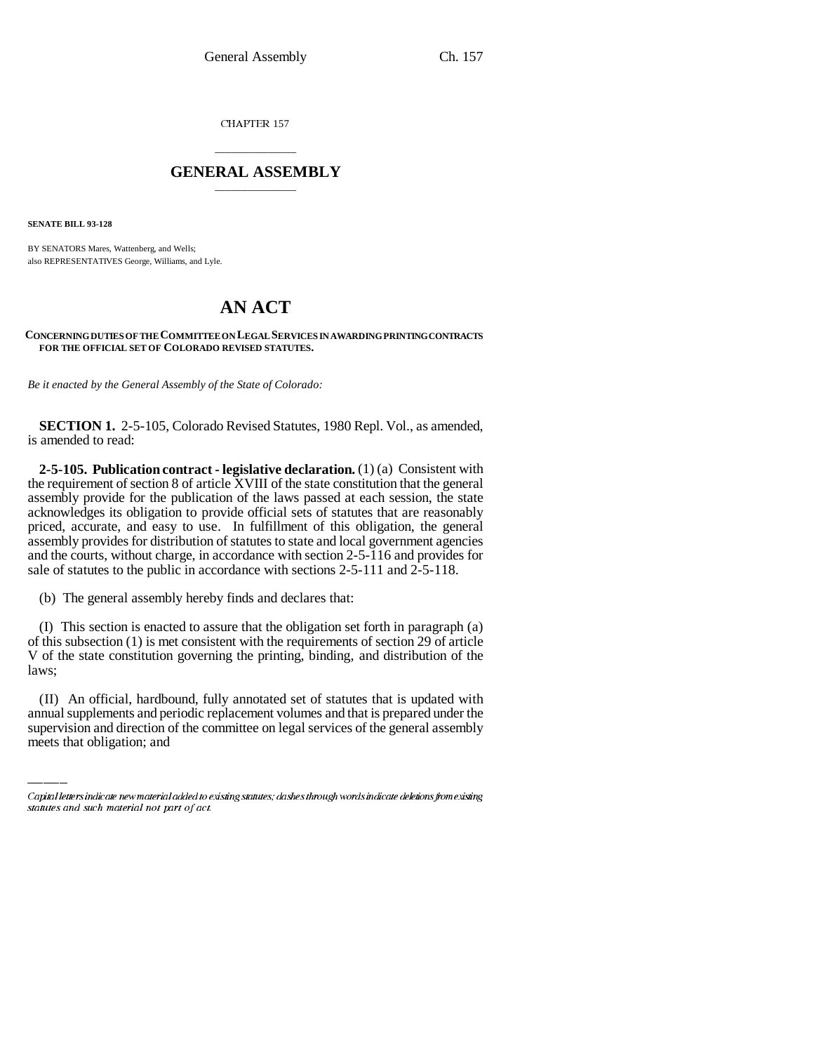CHAPTER 157

## \_\_\_\_\_\_\_\_\_\_\_\_\_\_\_ **GENERAL ASSEMBLY** \_\_\_\_\_\_\_\_\_\_\_\_\_\_\_

**SENATE BILL 93-128**

BY SENATORS Mares, Wattenberg, and Wells; also REPRESENTATIVES George, Williams, and Lyle.

## **AN ACT**

## **CONCERNING DUTIES OF THE COMMITTEE ON LEGAL SERVICES IN AWARDING PRINTING CONTRACTS FOR THE OFFICIAL SET OF COLORADO REVISED STATUTES.**

*Be it enacted by the General Assembly of the State of Colorado:*

**SECTION 1.** 2-5-105, Colorado Revised Statutes, 1980 Repl. Vol., as amended, is amended to read:

**2-5-105. Publication contract - legislative declaration.** (1) (a) Consistent with the requirement of section 8 of article XVIII of the state constitution that the general assembly provide for the publication of the laws passed at each session, the state acknowledges its obligation to provide official sets of statutes that are reasonably priced, accurate, and easy to use. In fulfillment of this obligation, the general assembly provides for distribution of statutes to state and local government agencies and the courts, without charge, in accordance with section 2-5-116 and provides for sale of statutes to the public in accordance with sections 2-5-111 and 2-5-118.

(b) The general assembly hereby finds and declares that:

 (I) This section is enacted to assure that the obligation set forth in paragraph (a) of this subsection (1) is met consistent with the requirements of section 29 of article V of the state constitution governing the printing, binding, and distribution of the laws;

(II) An official, hardbound, fully annotated set of statutes that is updated with annual supplements and periodic replacement volumes and that is prepared under the supervision and direction of the committee on legal services of the general assembly meets that obligation; and

Capital letters indicate new material added to existing statutes; dashes through words indicate deletions from existing statutes and such material not part of act.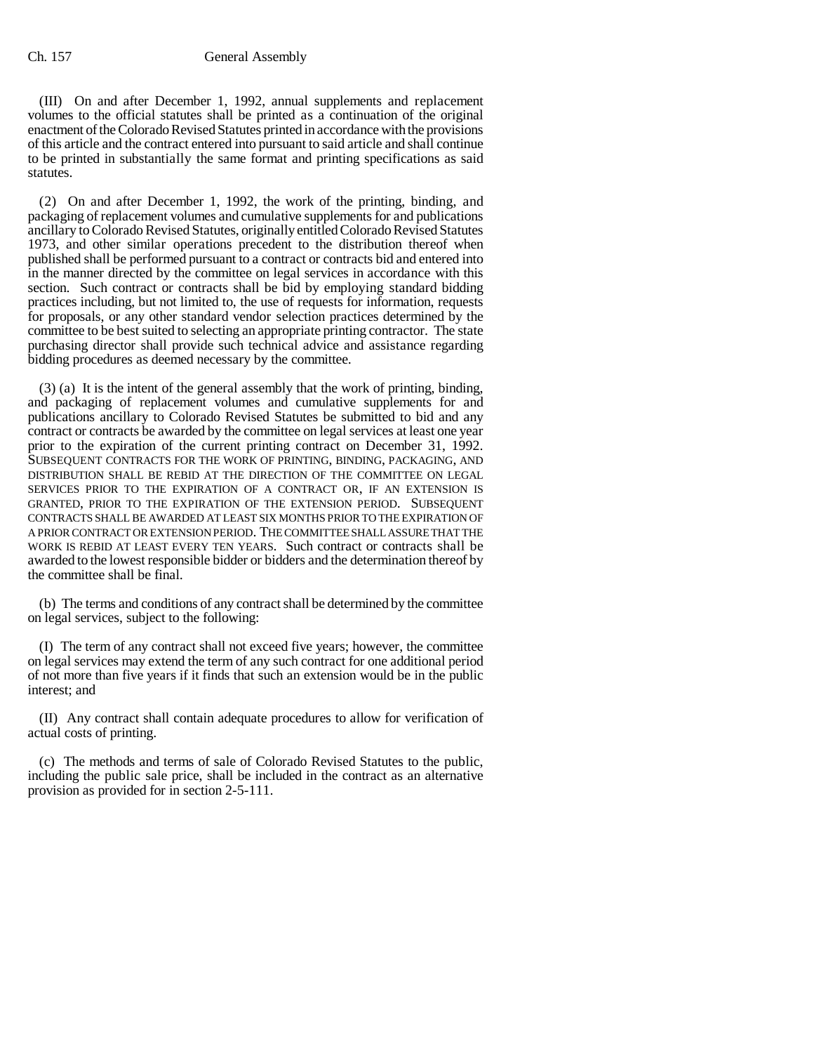(III) On and after December 1, 1992, annual supplements and replacement volumes to the official statutes shall be printed as a continuation of the original enactment of the Colorado Revised Statutes printed in accordance with the provisions of this article and the contract entered into pursuant to said article and shall continue to be printed in substantially the same format and printing specifications as said statutes.

(2) On and after December 1, 1992, the work of the printing, binding, and packaging of replacement volumes and cumulative supplements for and publications ancillary to Colorado Revised Statutes, originally entitled Colorado Revised Statutes 1973, and other similar operations precedent to the distribution thereof when published shall be performed pursuant to a contract or contracts bid and entered into in the manner directed by the committee on legal services in accordance with this section. Such contract or contracts shall be bid by employing standard bidding practices including, but not limited to, the use of requests for information, requests for proposals, or any other standard vendor selection practices determined by the committee to be best suited to selecting an appropriate printing contractor. The state purchasing director shall provide such technical advice and assistance regarding bidding procedures as deemed necessary by the committee.

(3) (a) It is the intent of the general assembly that the work of printing, binding, and packaging of replacement volumes and cumulative supplements for and publications ancillary to Colorado Revised Statutes be submitted to bid and any contract or contracts be awarded by the committee on legal services at least one year prior to the expiration of the current printing contract on December 31, 1992. SUBSEQUENT CONTRACTS FOR THE WORK OF PRINTING, BINDING, PACKAGING, AND DISTRIBUTION SHALL BE REBID AT THE DIRECTION OF THE COMMITTEE ON LEGAL SERVICES PRIOR TO THE EXPIRATION OF A CONTRACT OR, IF AN EXTENSION IS GRANTED, PRIOR TO THE EXPIRATION OF THE EXTENSION PERIOD. SUBSEQUENT CONTRACTS SHALL BE AWARDED AT LEAST SIX MONTHS PRIOR TO THE EXPIRATION OF A PRIOR CONTRACT OR EXTENSION PERIOD. THE COMMITTEE SHALL ASSURE THAT THE WORK IS REBID AT LEAST EVERY TEN YEARS. Such contract or contracts shall be awarded to the lowest responsible bidder or bidders and the determination thereof by the committee shall be final.

(b) The terms and conditions of any contract shall be determined by the committee on legal services, subject to the following:

(I) The term of any contract shall not exceed five years; however, the committee on legal services may extend the term of any such contract for one additional period of not more than five years if it finds that such an extension would be in the public interest; and

(II) Any contract shall contain adequate procedures to allow for verification of actual costs of printing.

(c) The methods and terms of sale of Colorado Revised Statutes to the public, including the public sale price, shall be included in the contract as an alternative provision as provided for in section 2-5-111.